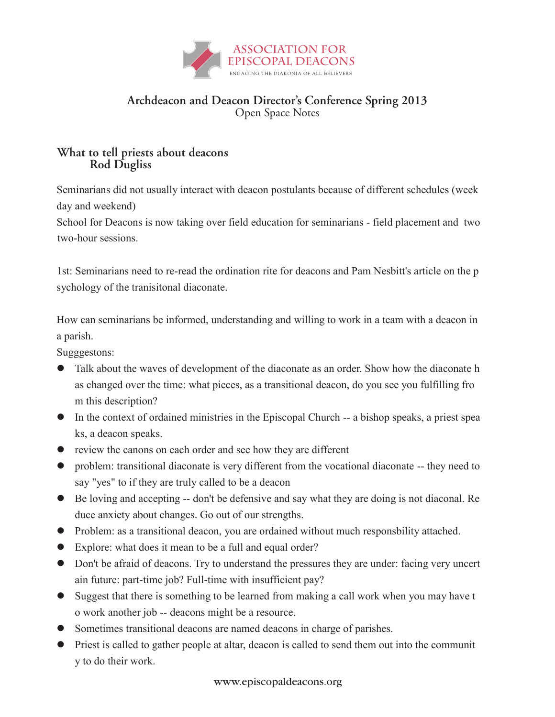

## **Archdeacon and Deacon Director's Conference Spring 2013** Open Space Notes

## Rod Dugliss **What to tell priests about deacons Rod Dugliss** $\sigma$

Seminarians did not usually interact with deacon postulants because of different schedules (week day and weekend)

School for Deacons is now taking over field education for seminarians - field placement and two two-hour sessions.

1st: Seminarians need to re-read the ordination rite for deacons and Pam Nesbitt's article on the p sychology of the tranisitonal diaconate.

How can seminarians be informed, understanding and willing to work in a team with a deacon in a parish.

Sugggestons:

- Talk about the waves of development of the diaconate as an order. Show how the diaconate h as changed over the time: what pieces, as a transitional deacon, do you see you fulfilling fro m this description?
- In the context of ordained ministries in the Episcopal Church -- a bishop speaks, a priest spea ks, a deacon speaks.
- review the canons on each order and see how they are different
- problem: transitional diaconate is very different from the vocational diaconate -- they need to say "yes" to if they are truly called to be a deacon
- Be loving and accepting -- don't be defensive and say what they are doing is not diaconal. Re duce anxiety about changes. Go out of our strengths.
- Problem: as a transitional deacon, you are ordained without much responsbility attached.
- Explore: what does it mean to be a full and equal order?
- Don't be afraid of deacons. Try to understand the pressures they are under: facing very uncert ain future: part-time job? Full-time with insufficient pay?
- Suggest that there is something to be learned from making a call work when you may have t o work another job -- deacons might be a resource.
- Sometimes transitional deacons are named deacons in charge of parishes.
- Priest is called to gather people at altar, deacon is called to send them out into the communit y to do their work.